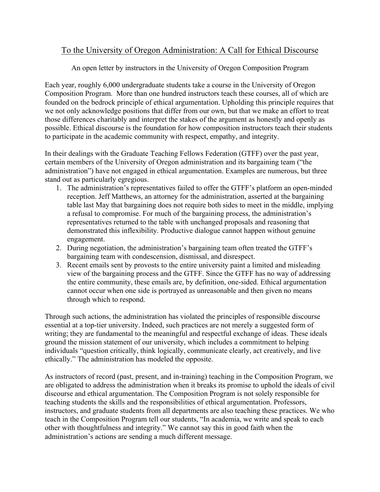## To the University of Oregon Administration: A Call for Ethical Discourse

## An open letter by instructors in the University of Oregon Composition Program

Each year, roughly 6,000 undergraduate students take a course in the University of Oregon Composition Program. More than one hundred instructors teach these courses, all of which are founded on the bedrock principle of ethical argumentation. Upholding this principle requires that we not only acknowledge positions that differ from our own, but that we make an effort to treat those differences charitably and interpret the stakes of the argument as honestly and openly as possible. Ethical discourse is the foundation for how composition instructors teach their students to participate in the academic community with respect, empathy, and integrity.

In their dealings with the Graduate Teaching Fellows Federation (GTFF) over the past year, certain members of the University of Oregon administration and its bargaining team ("the administration") have not engaged in ethical argumentation. Examples are numerous, but three stand out as particularly egregious.

- 1. The administration's representatives failed to offer the GTFF's platform an open-minded reception. Jeff Matthews, an attorney for the administration, asserted at the bargaining table last May that bargaining does not require both sides to meet in the middle, implying a refusal to compromise. For much of the bargaining process, the administration's representatives returned to the table with unchanged proposals and reasoning that demonstrated this inflexibility. Productive dialogue cannot happen without genuine engagement.
- 2. During negotiation, the administration's bargaining team often treated the GTFF's bargaining team with condescension, dismissal, and disrespect.
- 3. Recent emails sent by provosts to the entire university paint a limited and misleading view of the bargaining process and the GTFF. Since the GTFF has no way of addressing the entire community, these emails are, by definition, one-sided. Ethical argumentation cannot occur when one side is portrayed as unreasonable and then given no means through which to respond.

Through such actions, the administration has violated the principles of responsible discourse essential at a top-tier university. Indeed, such practices are not merely a suggested form of writing; they are fundamental to the meaningful and respectful exchange of ideas. These ideals ground the mission statement of our university, which includes a commitment to helping individuals "question critically, think logically, communicate clearly, act creatively, and live ethically." The administration has modeled the opposite.

As instructors of record (past, present, and in-training) teaching in the Composition Program, we are obligated to address the administration when it breaks its promise to uphold the ideals of civil discourse and ethical argumentation. The Composition Program is not solely responsible for teaching students the skills and the responsibilities of ethical argumentation. Professors, instructors, and graduate students from all departments are also teaching these practices. We who teach in the Composition Program tell our students, "In academia, we write and speak to each other with thoughtfulness and integrity." We cannot say this in good faith when the administration's actions are sending a much different message.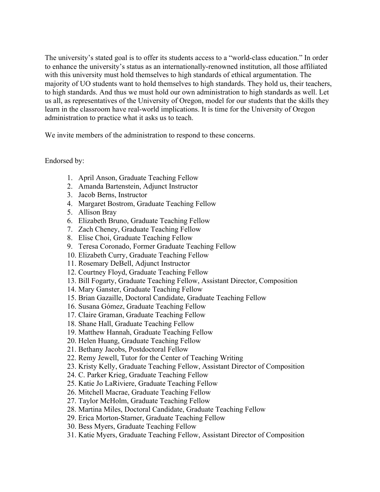The university's stated goal is to offer its students access to a "world-class education." In order to enhance the university's status as an internationally-renowned institution, all those affiliated with this university must hold themselves to high standards of ethical argumentation. The majority of UO students want to hold themselves to high standards. They hold us, their teachers, to high standards. And thus we must hold our own administration to high standards as well. Let us all, as representatives of the University of Oregon, model for our students that the skills they learn in the classroom have real-world implications. It is time for the University of Oregon administration to practice what it asks us to teach.

We invite members of the administration to respond to these concerns.

## Endorsed by:

- 1. April Anson, Graduate Teaching Fellow
- 2. Amanda Bartenstein, Adjunct Instructor
- 3. Jacob Berns, Instructor
- 4. Margaret Bostrom, Graduate Teaching Fellow
- 5. Allison Bray
- 6. Elizabeth Bruno, Graduate Teaching Fellow
- 7. Zach Cheney, Graduate Teaching Fellow
- 8. Elise Choi, Graduate Teaching Fellow
- 9. Teresa Coronado, Former Graduate Teaching Fellow
- 10. Elizabeth Curry, Graduate Teaching Fellow
- 11. Rosemary DeBell, Adjunct Instructor
- 12. Courtney Floyd, Graduate Teaching Fellow
- 13. Bill Fogarty, Graduate Teaching Fellow, Assistant Director, Composition
- 14. Mary Ganster, Graduate Teaching Fellow
- 15. Brian Gazaille, Doctoral Candidate, Graduate Teaching Fellow
- 16. Susana Gómez, Graduate Teaching Fellow
- 17. Claire Graman, Graduate Teaching Fellow
- 18. Shane Hall, Graduate Teaching Fellow
- 19. Matthew Hannah, Graduate Teaching Fellow
- 20. Helen Huang, Graduate Teaching Fellow
- 21. Bethany Jacobs, Postdoctoral Fellow
- 22. Remy Jewell, Tutor for the Center of Teaching Writing
- 23. Kristy Kelly, Graduate Teaching Fellow, Assistant Director of Composition
- 24. C. Parker Krieg, Graduate Teaching Fellow
- 25. Katie Jo LaRiviere, Graduate Teaching Fellow
- 26. Mitchell Macrae, Graduate Teaching Fellow
- 27. Taylor McHolm, Graduate Teaching Fellow
- 28. Martina Miles, Doctoral Candidate, Graduate Teaching Fellow
- 29. Erica Morton-Starner, Graduate Teaching Fellow
- 30. Bess Myers, Graduate Teaching Fellow
- 31. Katie Myers, Graduate Teaching Fellow, Assistant Director of Composition